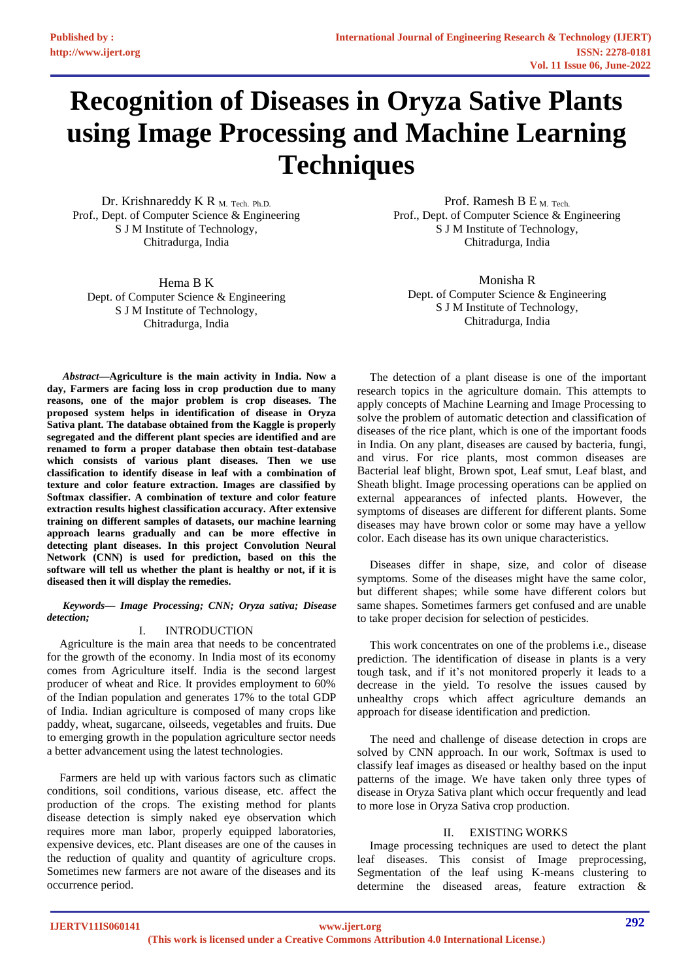# **Recognition of Diseases in Oryza Sative Plants using Image Processing and Machine Learning Techniques**

Dr. Krishnareddy K R  $_{\text{M}}$ . Tech. Ph.D. Prof., Dept. of Computer Science & Engineering S J M Institute of Technology, Chitradurga, India

Hema B K Dept. of Computer Science & Engineering S J M Institute of Technology, Chitradurga, India

Prof. Ramesh B E M. Tech. Prof., Dept. of Computer Science & Engineering S J M Institute of Technology, Chitradurga, India

Monisha R Dept. of Computer Science & Engineering S J M Institute of Technology, Chitradurga, India

*Abstract***—Agriculture is the main activity in India. Now a day, Farmers are facing loss in crop production due to many reasons, one of the major problem is crop diseases. The proposed system helps in identification of disease in Oryza Sativa plant. The database obtained from the Kaggle is properly segregated and the different plant species are identified and are renamed to form a proper database then obtain test-database which consists of various plant diseases. Then we use classification to identify disease in leaf with a combination of texture and color feature extraction. Images are classified by Softmax classifier. A combination of texture and color feature extraction results highest classification accuracy. After extensive training on different samples of datasets, our machine learning approach learns gradually and can be more effective in detecting plant diseases. In this project Convolution Neural Network (CNN) is used for prediction, based on this the software will tell us whether the plant is healthy or not, if it is diseased then it will display the remedies.**

*Keywords— Image Processing; CNN; Oryza sativa; Disease detection;* 

## I. INTRODUCTION

Agriculture is the main area that needs to be concentrated for the growth of the economy. In India most of its economy comes from Agriculture itself. India is the second largest producer of wheat and Rice. It provides employment to 60% of the Indian population and generates 17% to the total GDP of India. Indian agriculture is composed of many crops like paddy, wheat, sugarcane, oilseeds, vegetables and fruits. Due to emerging growth in the population agriculture sector needs a better advancement using the latest technologies.

Farmers are held up with various factors such as climatic conditions, soil conditions, various disease, etc. affect the production of the crops. The existing method for plants disease detection is simply naked eye observation which requires more man labor, properly equipped laboratories, expensive devices, etc. Plant diseases are one of the causes in the reduction of quality and quantity of agriculture crops. Sometimes new farmers are not aware of the diseases and its occurrence period.

The detection of a plant disease is one of the important research topics in the agriculture domain. This attempts to apply concepts of Machine Learning and Image Processing to solve the problem of automatic detection and classification of diseases of the rice plant, which is one of the important foods in India. On any plant, diseases are caused by bacteria, fungi, and virus. For rice plants, most common diseases are Bacterial leaf blight, Brown spot, Leaf smut, Leaf blast, and Sheath blight. Image processing operations can be applied on external appearances of infected plants. However, the symptoms of diseases are different for different plants. Some diseases may have brown color or some may have a yellow color. Each disease has its own unique characteristics.

Diseases differ in shape, size, and color of disease symptoms. Some of the diseases might have the same color, but different shapes; while some have different colors but same shapes. Sometimes farmers get confused and are unable to take proper decision for selection of pesticides.

This work concentrates on one of the problems i.e., disease prediction. The identification of disease in plants is a very tough task, and if it's not monitored properly it leads to a decrease in the yield. To resolve the issues caused by unhealthy crops which affect agriculture demands an approach for disease identification and prediction.

The need and challenge of disease detection in crops are solved by CNN approach. In our work, Softmax is used to classify leaf images as diseased or healthy based on the input patterns of the image. We have taken only three types of disease in Oryza Sativa plant which occur frequently and lead to more lose in Oryza Sativa crop production.

## II. EXISTING WORKS

Image processing techniques are used to detect the plant leaf diseases. This consist of Image preprocessing, Segmentation of the leaf using K-means clustering to determine the diseased areas, feature extraction &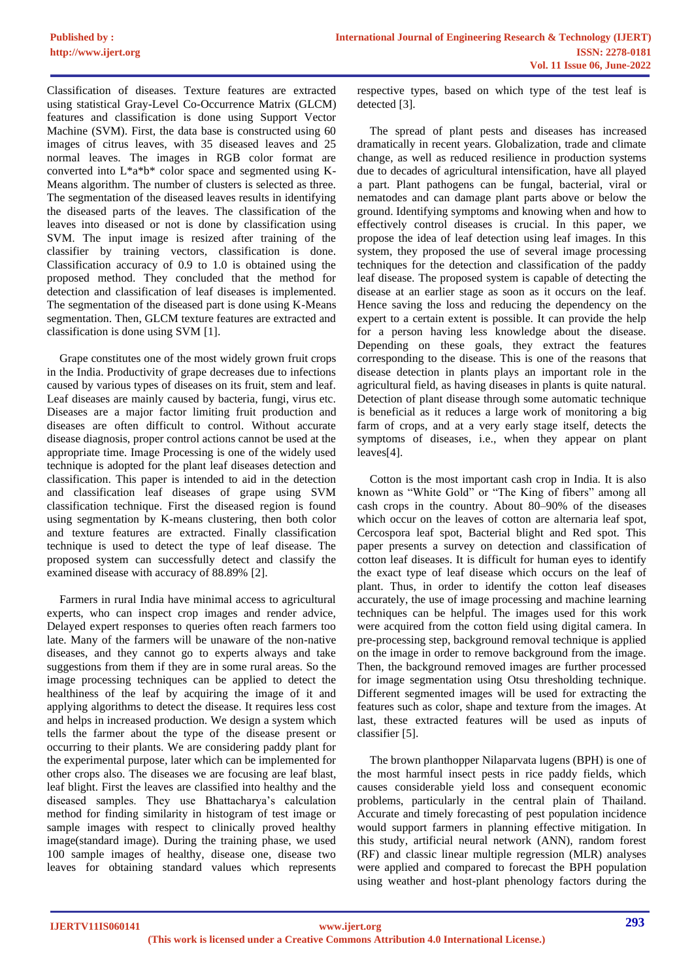Classification of diseases. Texture features are extracted using statistical Gray-Level Co-Occurrence Matrix (GLCM) features and classification is done using Support Vector Machine (SVM). First, the data base is constructed using 60 images of citrus leaves, with 35 diseased leaves and 25 normal leaves. The images in RGB color format are converted into L\*a\*b\* color space and segmented using K-Means algorithm. The number of clusters is selected as three. The segmentation of the diseased leaves results in identifying the diseased parts of the leaves. The classification of the leaves into diseased or not is done by classification using SVM. The input image is resized after training of the classifier by training vectors, classification is done. Classification accuracy of 0.9 to 1.0 is obtained using the proposed method. They concluded that the method for detection and classification of leaf diseases is implemented. The segmentation of the diseased part is done using K-Means segmentation. Then, GLCM texture features are extracted and classification is done using SVM [1].

Grape constitutes one of the most widely grown fruit crops in the India. Productivity of grape decreases due to infections caused by various types of diseases on its fruit, stem and leaf. Leaf diseases are mainly caused by bacteria, fungi, virus etc. Diseases are a major factor limiting fruit production and diseases are often difficult to control. Without accurate disease diagnosis, proper control actions cannot be used at the appropriate time. Image Processing is one of the widely used technique is adopted for the plant leaf diseases detection and classification. This paper is intended to aid in the detection and classification leaf diseases of grape using SVM classification technique. First the diseased region is found using segmentation by K-means clustering, then both color and texture features are extracted. Finally classification technique is used to detect the type of leaf disease. The proposed system can successfully detect and classify the examined disease with accuracy of 88.89% [2].

Farmers in rural India have minimal access to agricultural experts, who can inspect crop images and render advice, Delayed expert responses to queries often reach farmers too late. Many of the farmers will be unaware of the non-native diseases, and they cannot go to experts always and take suggestions from them if they are in some rural areas. So the image processing techniques can be applied to detect the healthiness of the leaf by acquiring the image of it and applying algorithms to detect the disease. It requires less cost and helps in increased production. We design a system which tells the farmer about the type of the disease present or occurring to their plants. We are considering paddy plant for the experimental purpose, later which can be implemented for other crops also. The diseases we are focusing are leaf blast, leaf blight. First the leaves are classified into healthy and the diseased samples. They use Bhattacharya's calculation method for finding similarity in histogram of test image or sample images with respect to clinically proved healthy image(standard image). During the training phase, we used 100 sample images of healthy, disease one, disease two leaves for obtaining standard values which represents

respective types, based on which type of the test leaf is detected [3].

The spread of plant pests and diseases has increased dramatically in recent years. Globalization, trade and climate change, as well as reduced resilience in production systems due to decades of agricultural intensification, have all played a part. Plant pathogens can be fungal, bacterial, viral or nematodes and can damage plant parts above or below the ground. Identifying symptoms and knowing when and how to effectively control diseases is crucial. In this paper, we propose the idea of leaf detection using leaf images. In this system, they proposed the use of several image processing techniques for the detection and classification of the paddy leaf disease. The proposed system is capable of detecting the disease at an earlier stage as soon as it occurs on the leaf. Hence saving the loss and reducing the dependency on the expert to a certain extent is possible. It can provide the help for a person having less knowledge about the disease. Depending on these goals, they extract the features corresponding to the disease. This is one of the reasons that disease detection in plants plays an important role in the agricultural field, as having diseases in plants is quite natural. Detection of plant disease through some automatic technique is beneficial as it reduces a large work of monitoring a big farm of crops, and at a very early stage itself, detects the symptoms of diseases, i.e., when they appear on plant leaves[4].

Cotton is the most important cash crop in India. It is also known as "White Gold" or "The King of fibers" among all cash crops in the country. About 80–90% of the diseases which occur on the leaves of cotton are alternaria leaf spot, Cercospora leaf spot, Bacterial blight and Red spot. This paper presents a survey on detection and classification of cotton leaf diseases. It is difficult for human eyes to identify the exact type of leaf disease which occurs on the leaf of plant. Thus, in order to identify the cotton leaf diseases accurately, the use of image processing and machine learning techniques can be helpful. The images used for this work were acquired from the cotton field using digital camera. In pre-processing step, background removal technique is applied on the image in order to remove background from the image. Then, the background removed images are further processed for image segmentation using Otsu thresholding technique. Different segmented images will be used for extracting the features such as color, shape and texture from the images. At last, these extracted features will be used as inputs of classifier [5].

The brown planthopper Nilaparvata lugens (BPH) is one of the most harmful insect pests in rice paddy fields, which causes considerable yield loss and consequent economic problems, particularly in the central plain of Thailand. Accurate and timely forecasting of pest population incidence would support farmers in planning effective mitigation. In this study, artificial neural network (ANN), random forest (RF) and classic linear multiple regression (MLR) analyses were applied and compared to forecast the BPH population using weather and host-plant phenology factors during the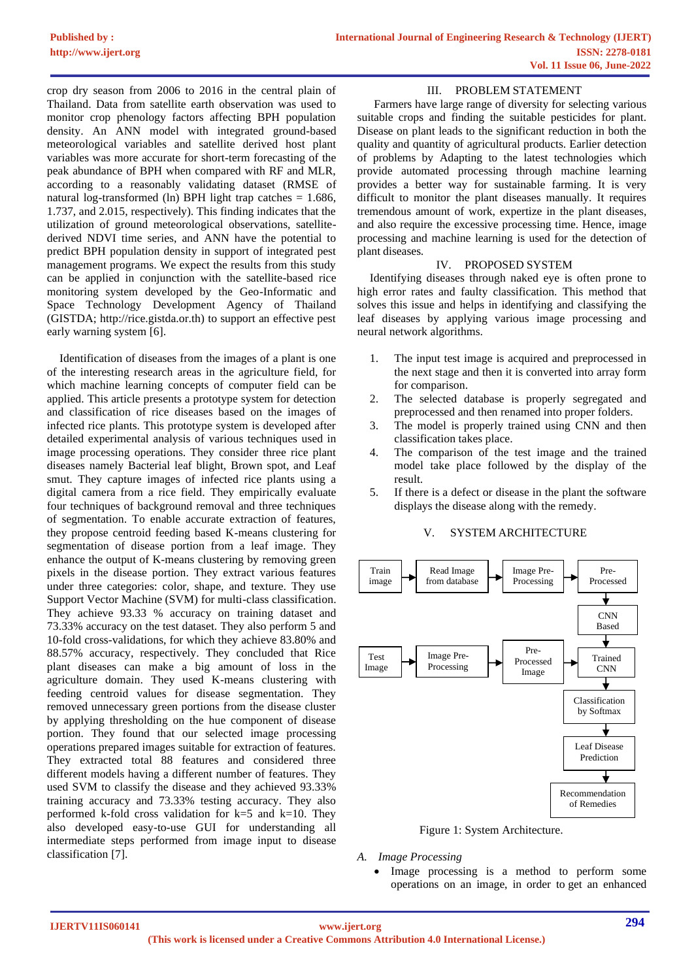crop dry season from 2006 to 2016 in the central plain of Thailand. Data from satellite earth observation was used to monitor crop phenology factors affecting BPH population density. An ANN model with integrated ground-based meteorological variables and satellite derived host plant variables was more accurate for short-term forecasting of the peak abundance of BPH when compared with RF and MLR, according to a reasonably validating dataset (RMSE of natural log-transformed (ln) BPH light trap catches  $= 1.686$ , 1.737, and 2.015, respectively). This finding indicates that the utilization of ground meteorological observations, satellitederived NDVI time series, and ANN have the potential to predict BPH population density in support of integrated pest management programs. We expect the results from this study can be applied in conjunction with the satellite-based rice monitoring system developed by the Geo-Informatic and Space Technology Development Agency of Thailand (GISTDA; http://rice.gistda.or.th) to support an effective pest early warning system [6].

Identification of diseases from the images of a plant is one of the interesting research areas in the agriculture field, for which machine learning concepts of computer field can be applied. This article presents a prototype system for detection and classification of rice diseases based on the images of infected rice plants. This prototype system is developed after detailed experimental analysis of various techniques used in image processing operations. They consider three rice plant diseases namely Bacterial leaf blight, Brown spot, and Leaf smut. They capture images of infected rice plants using a digital camera from a rice field. They empirically evaluate four techniques of background removal and three techniques of segmentation. To enable accurate extraction of features, they propose centroid feeding based K-means clustering for segmentation of disease portion from a leaf image. They enhance the output of K-means clustering by removing green pixels in the disease portion. They extract various features under three categories: color, shape, and texture. They use Support Vector Machine (SVM) for multi-class classification. They achieve 93.33 % accuracy on training dataset and 73.33% accuracy on the test dataset. They also perform 5 and 10-fold cross-validations, for which they achieve 83.80% and 88.57% accuracy, respectively. They concluded that Rice plant diseases can make a big amount of loss in the agriculture domain. They used K-means clustering with feeding centroid values for disease segmentation. They removed unnecessary green portions from the disease cluster by applying thresholding on the hue component of disease portion. They found that our selected image processing operations prepared images suitable for extraction of features. They extracted total 88 features and considered three different models having a different number of features. They used SVM to classify the disease and they achieved 93.33% training accuracy and 73.33% testing accuracy. They also performed k-fold cross validation for  $k=5$  and  $k=10$ . They also developed easy-to-use GUI for understanding all intermediate steps performed from image input to disease classification [7].

#### III. PROBLEM STATEMENT

Farmers have large range of diversity for selecting various suitable crops and finding the suitable pesticides for plant. Disease on plant leads to the significant reduction in both the quality and quantity of agricultural products. Earlier detection of problems by Adapting to the latest technologies which provide automated processing through machine learning provides a better way for sustainable farming. It is very difficult to monitor the plant diseases manually. It requires tremendous amount of work, expertize in the plant diseases, and also require the excessive processing time. Hence, image processing and machine learning is used for the detection of plant diseases.

## IV. PROPOSED SYSTEM

Identifying diseases through naked eye is often prone to high error rates and faulty classification. This method that solves this issue and helps in identifying and classifying the leaf diseases by applying various image processing and neural network algorithms.

- 1. The input test image is acquired and preprocessed in the next stage and then it is converted into array form for comparison.
- 2. The selected database is properly segregated and preprocessed and then renamed into proper folders.
- 3. The model is properly trained using CNN and then classification takes place.
- 4. The comparison of the test image and the trained model take place followed by the display of the result.
- 5. If there is a defect or disease in the plant the software displays the disease along with the remedy.



## V. SYSTEM ARCHITECTURE

- Figure 1: System Architecture.
- *A. Image Processing*
	- Image processing is a method to perform some operations on an image, in order to get an enhanced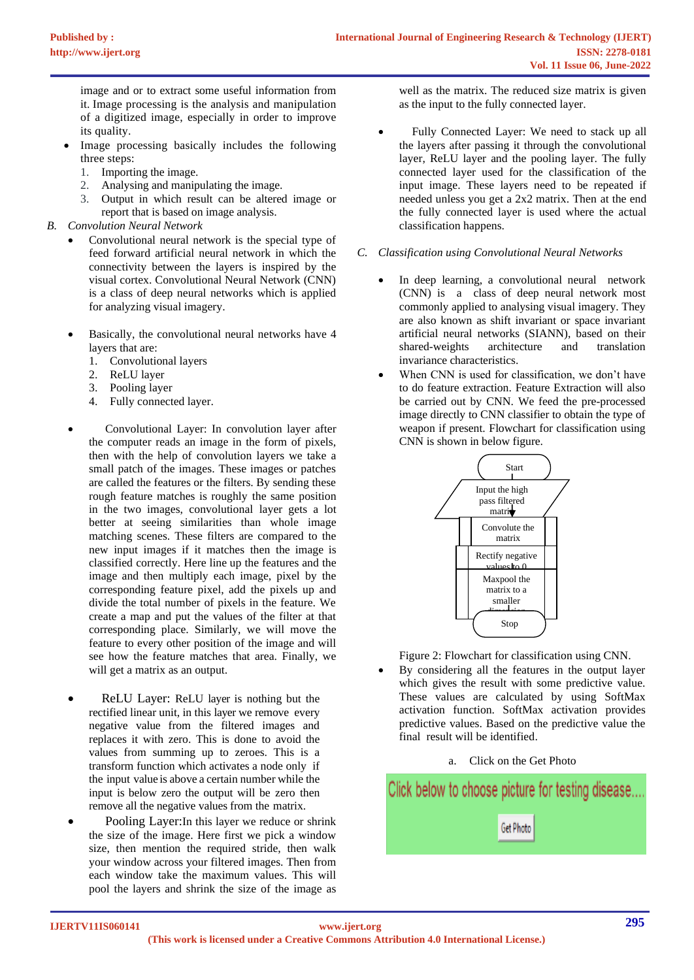image and or to extract some useful information from it. Image processing is the analysis and manipulation of a digitized image, especially in order to improve its quality.

- Image processing basically includes the following three steps:
	- 1. Importing the image.
	- 2. Analysing and manipulating the image.
	- 3. Output in which result can be altered image or report that is based on image analysis.
- *B. Convolution Neural Network*
	- Convolutional neural network is the special type of feed forward artificial neural network in which the connectivity between the layers is inspired by the visual cortex. Convolutional Neural Network (CNN) is a class of deep neural networks which is applied for analyzing visual imagery.
	- Basically, the convolutional neural networks have 4 layers that are:
		- 1. Convolutional layers
		- 2. ReLU layer
		- 3. Pooling layer
		- 4. Fully connected layer.
	- Convolutional Layer: In convolution layer after the computer reads an image in the form of pixels, then with the help of convolution layers we take a small patch of the images. These images or patches are called the features or the filters. By sending these rough feature matches is roughly the same position in the two images, convolutional layer gets a lot better at seeing similarities than whole image matching scenes. These filters are compared to the new input images if it matches then the image is classified correctly. Here line up the features and the image and then multiply each image, pixel by the corresponding feature pixel, add the pixels up and divide the total number of pixels in the feature. We create a map and put the values of the filter at that corresponding place. Similarly, we will move the feature to every other position of the image and will see how the feature matches that area. Finally, we will get a matrix as an output.
	- ReLU Layer: ReLU layer is nothing but the rectified linear unit, in this layer we remove every negative value from the filtered images and replaces it with zero. This is done to avoid the values from summing up to zeroes. This is a transform function which activates a node only if the input value is above a certain number while the input is below zero the output will be zero then remove all the negative values from the matrix.
	- Pooling Layer: In this layer we reduce or shrink the size of the image. Here first we pick a window size, then mention the required stride, then walk your window across your filtered images. Then from each window take the maximum values. This will pool the layers and shrink the size of the image as

well as the matrix. The reduced size matrix is given as the input to the fully connected layer.

- Fully Connected Layer: We need to stack up all the layers after passing it through the convolutional layer, ReLU layer and the pooling layer. The fully connected layer used for the classification of the input image. These layers need to be repeated if needed unless you get a 2x2 matrix. Then at the end the fully connected layer is used where the actual classification happens.
- *C. Classification using Convolutional Neural Networks*
	- In deep learning, a convolutional neural network (CNN) is a class of deep neural network most commonly applied to analysing visual imagery. They are also known as shift invariant or space invariant artificial neural networks (SIANN), based on their shared-weights architecture and translation invariance characteristics.
	- When CNN is used for classification, we don't have to do feature extraction. Feature Extraction will also be carried out by CNN. We feed the pre-processed image directly to CNN classifier to obtain the type of weapon if present. Flowchart for classification using CNN is shown in below figure.



Figure 2: Flowchart for classification using CNN.

- By considering all the features in the output layer which gives the result with some predictive value. These values are calculated by using SoftMax activation function. SoftMax activation provides predictive values. Based on the predictive value the final result will be identified.
	- a. Click on the Get Photo